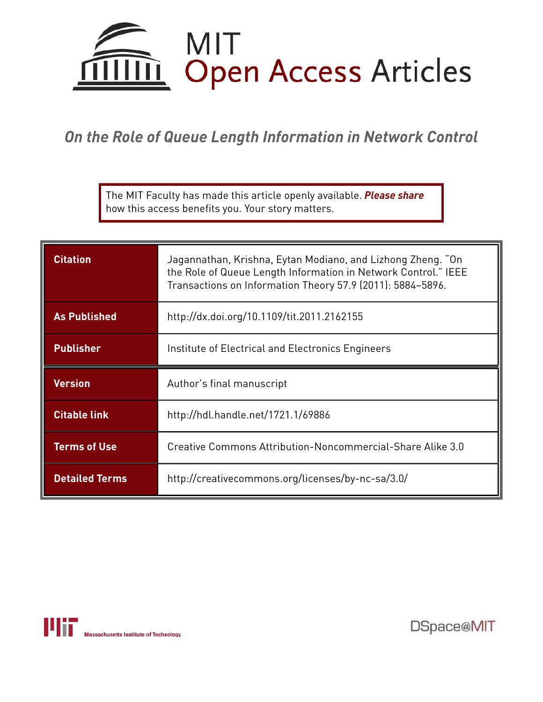

*On the Role of Queue Length Information in Network Control*

The MIT Faculty has made this article openly available. *Please share*  how this access benefits you. Your story matters.

| <b>Citation</b>       | Jagannathan, Krishna, Eytan Modiano, and Lizhong Zheng. "On<br>the Role of Queue Length Information in Network Control." IEEE<br>Transactions on Information Theory 57.9 (2011): 5884-5896. |
|-----------------------|---------------------------------------------------------------------------------------------------------------------------------------------------------------------------------------------|
| <b>As Published</b>   | http://dx.doi.org/10.1109/tit.2011.2162155                                                                                                                                                  |
| <b>Publisher</b>      | Institute of Electrical and Electronics Engineers                                                                                                                                           |
| <b>Version</b>        | Author's final manuscript                                                                                                                                                                   |
| <b>Citable link</b>   | http://hdl.handle.net/1721.1/69886                                                                                                                                                          |
| <b>Terms of Use</b>   | Creative Commons Attribution-Noncommercial-Share Alike 3.0                                                                                                                                  |
| <b>Detailed Terms</b> | http://creativecommons.org/licenses/by-nc-sa/3.0/                                                                                                                                           |



DSpace@MIT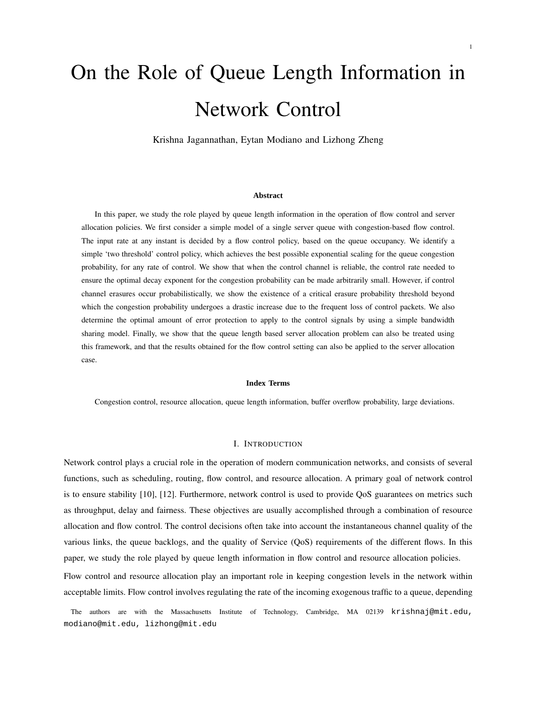# On the Role of Queue Length Information in Network Control

Krishna Jagannathan, Eytan Modiano and Lizhong Zheng

#### **Abstract**

In this paper, we study the role played by queue length information in the operation of flow control and server allocation policies. We first consider a simple model of a single server queue with congestion-based flow control. The input rate at any instant is decided by a flow control policy, based on the queue occupancy. We identify a simple 'two threshold' control policy, which achieves the best possible exponential scaling for the queue congestion probability, for any rate of control. We show that when the control channel is reliable, the control rate needed to ensure the optimal decay exponent for the congestion probability can be made arbitrarily small. However, if control channel erasures occur probabilistically, we show the existence of a critical erasure probability threshold beyond which the congestion probability undergoes a drastic increase due to the frequent loss of control packets. We also determine the optimal amount of error protection to apply to the control signals by using a simple bandwidth sharing model. Finally, we show that the queue length based server allocation problem can also be treated using this framework, and that the results obtained for the flow control setting can also be applied to the server allocation case.

#### **Index Terms**

Congestion control, resource allocation, queue length information, buffer overflow probability, large deviations.

#### I. INTRODUCTION

Network control plays a crucial role in the operation of modern communication networks, and consists of several functions, such as scheduling, routing, flow control, and resource allocation. A primary goal of network control is to ensure stability [10], [12]. Furthermore, network control is used to provide QoS guarantees on metrics such as throughput, delay and fairness. These objectives are usually accomplished through a combination of resource allocation and flow control. The control decisions often take into account the instantaneous channel quality of the various links, the queue backlogs, and the quality of Service (QoS) requirements of the different flows. In this paper, we study the role played by queue length information in flow control and resource allocation policies. Flow control and resource allocation play an important role in keeping congestion levels in the network within acceptable limits. Flow control involves regulating the rate of the incoming exogenous traffic to a queue, depending

The authors are with the Massachusetts Institute of Technology, Cambridge, MA 02139 krishnaj@mit.edu, modiano@mit.edu, lizhong@mit.edu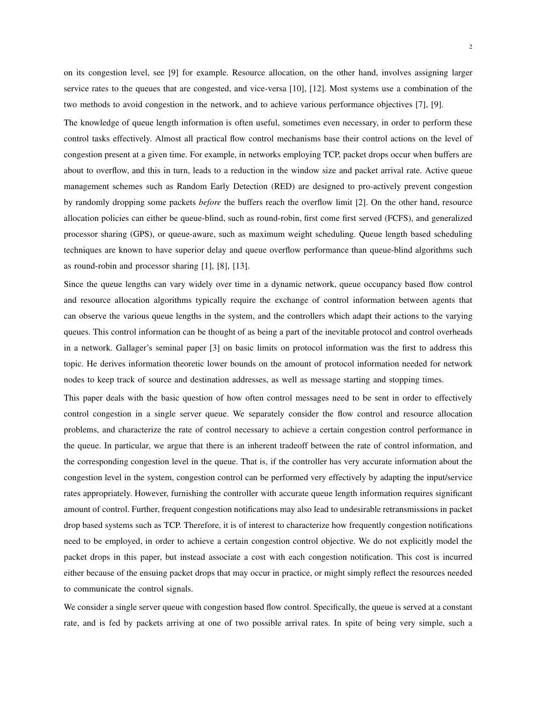on its congestion level, see [9] for example. Resource allocation, on the other hand, involves assigning larger service rates to the queues that are congested, and vice-versa [10], [12]. Most systems use a combination of the two methods to avoid congestion in the network, and to achieve various performance objectives [7], [9].

The knowledge of queue length information is often useful, sometimes even necessary, in order to perform these control tasks effectively. Almost all practical flow control mechanisms base their control actions on the level of congestion present at a given time. For example, in networks employing TCP, packet drops occur when buffers are about to overflow, and this in turn, leads to a reduction in the window size and packet arrival rate. Active queue management schemes such as Random Early Detection (RED) are designed to pro-actively prevent congestion by randomly dropping some packets *before* the buffers reach the overflow limit [2]. On the other hand, resource allocation policies can either be queue-blind, such as round-robin, first come first served (FCFS), and generalized processor sharing (GPS), or queue-aware, such as maximum weight scheduling. Queue length based scheduling techniques are known to have superior delay and queue overflow performance than queue-blind algorithms such as round-robin and processor sharing [1], [8], [13].

Since the queue lengths can vary widely over time in a dynamic network, queue occupancy based flow control and resource allocation algorithms typically require the exchange of control information between agents that can observe the various queue lengths in the system, and the controllers which adapt their actions to the varying queues. This control information can be thought of as being a part of the inevitable protocol and control overheads in a network. Gallager's seminal paper [3] on basic limits on protocol information was the first to address this topic. He derives information theoretic lower bounds on the amount of protocol information needed for network nodes to keep track of source and destination addresses, as well as message starting and stopping times.

This paper deals with the basic question of how often control messages need to be sent in order to effectively control congestion in a single server queue. We separately consider the flow control and resource allocation problems, and characterize the rate of control necessary to achieve a certain congestion control performance in the queue. In particular, we argue that there is an inherent tradeoff between the rate of control information, and the corresponding congestion level in the queue. That is, if the controller has very accurate information about the congestion level in the system, congestion control can be performed very effectively by adapting the input/service rates appropriately. However, furnishing the controller with accurate queue length information requires significant amount of control. Further, frequent congestion notifications may also lead to undesirable retransmissions in packet drop based systems such as TCP. Therefore, it is of interest to characterize how frequently congestion notifications need to be employed, in order to achieve a certain congestion control objective. We do not explicitly model the packet drops in this paper, but instead associate a cost with each congestion notification. This cost is incurred either because of the ensuing packet drops that may occur in practice, or might simply reflect the resources needed to communicate the control signals.

We consider a single server queue with congestion based flow control. Specifically, the queue is served at a constant rate, and is fed by packets arriving at one of two possible arrival rates. In spite of being very simple, such a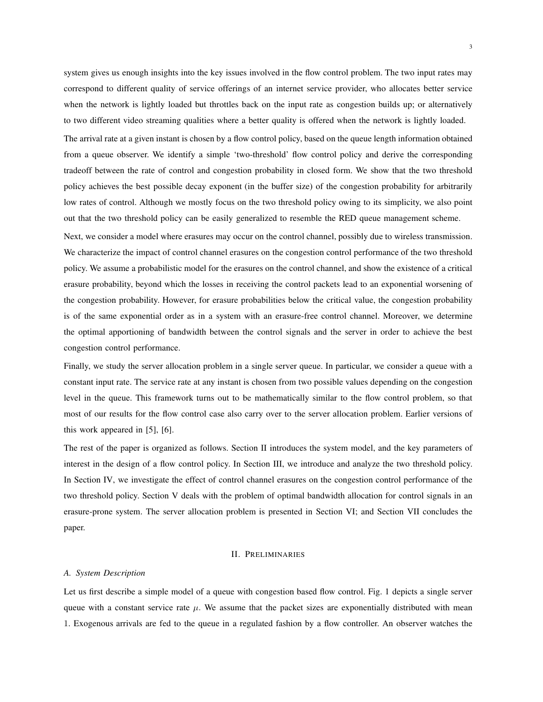system gives us enough insights into the key issues involved in the flow control problem. The two input rates may correspond to different quality of service offerings of an internet service provider, who allocates better service when the network is lightly loaded but throttles back on the input rate as congestion builds up; or alternatively to two different video streaming qualities where a better quality is offered when the network is lightly loaded.

The arrival rate at a given instant is chosen by a flow control policy, based on the queue length information obtained from a queue observer. We identify a simple 'two-threshold' flow control policy and derive the corresponding tradeoff between the rate of control and congestion probability in closed form. We show that the two threshold policy achieves the best possible decay exponent (in the buffer size) of the congestion probability for arbitrarily low rates of control. Although we mostly focus on the two threshold policy owing to its simplicity, we also point out that the two threshold policy can be easily generalized to resemble the RED queue management scheme.

Next, we consider a model where erasures may occur on the control channel, possibly due to wireless transmission. We characterize the impact of control channel erasures on the congestion control performance of the two threshold policy. We assume a probabilistic model for the erasures on the control channel, and show the existence of a critical erasure probability, beyond which the losses in receiving the control packets lead to an exponential worsening of the congestion probability. However, for erasure probabilities below the critical value, the congestion probability is of the same exponential order as in a system with an erasure-free control channel. Moreover, we determine the optimal apportioning of bandwidth between the control signals and the server in order to achieve the best congestion control performance.

Finally, we study the server allocation problem in a single server queue. In particular, we consider a queue with a constant input rate. The service rate at any instant is chosen from two possible values depending on the congestion level in the queue. This framework turns out to be mathematically similar to the flow control problem, so that most of our results for the flow control case also carry over to the server allocation problem. Earlier versions of this work appeared in [5], [6].

The rest of the paper is organized as follows. Section II introduces the system model, and the key parameters of interest in the design of a flow control policy. In Section III, we introduce and analyze the two threshold policy. In Section IV, we investigate the effect of control channel erasures on the congestion control performance of the two threshold policy. Section V deals with the problem of optimal bandwidth allocation for control signals in an erasure-prone system. The server allocation problem is presented in Section VI; and Section VII concludes the paper.

#### II. PRELIMINARIES

#### *A. System Description*

Let us first describe a simple model of a queue with congestion based flow control. Fig. 1 depicts a single server queue with a constant service rate  $\mu$ . We assume that the packet sizes are exponentially distributed with mean 1. Exogenous arrivals are fed to the queue in a regulated fashion by a flow controller. An observer watches the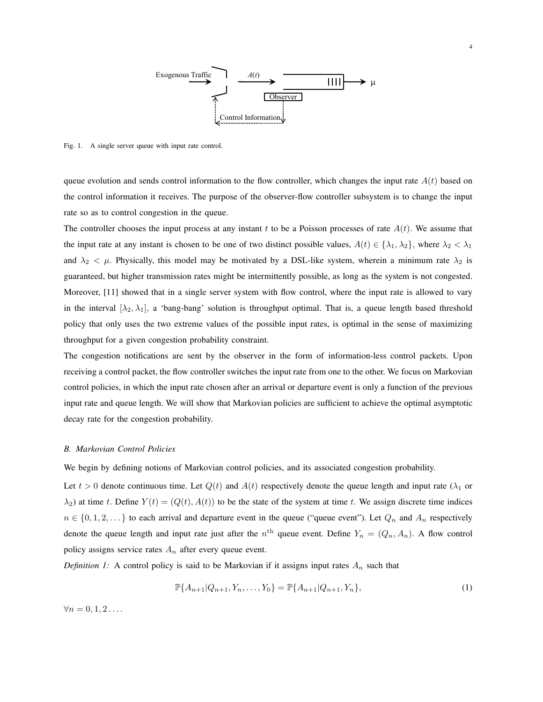

Fig. 1. A single server queue with input rate control.

queue evolution and sends control information to the flow controller, which changes the input rate  $A(t)$  based on the control information it receives. The purpose of the observer-flow controller subsystem is to change the input rate so as to control congestion in the queue.

The controller chooses the input process at any instant t to be a Poisson processes of rate  $A(t)$ . We assume that the input rate at any instant is chosen to be one of two distinct possible values,  $A(t) \in \{\lambda_1, \lambda_2\}$ , where  $\lambda_2 < \lambda_1$ and  $\lambda_2 < \mu$ . Physically, this model may be motivated by a DSL-like system, wherein a minimum rate  $\lambda_2$  is guaranteed, but higher transmission rates might be intermittently possible, as long as the system is not congested. Moreover, [11] showed that in a single server system with flow control, where the input rate is allowed to vary in the interval  $[\lambda_2, \lambda_1]$ , a 'bang-bang' solution is throughput optimal. That is, a queue length based threshold policy that only uses the two extreme values of the possible input rates, is optimal in the sense of maximizing throughput for a given congestion probability constraint.

The congestion notifications are sent by the observer in the form of information-less control packets. Upon receiving a control packet, the flow controller switches the input rate from one to the other. We focus on Markovian control policies, in which the input rate chosen after an arrival or departure event is only a function of the previous input rate and queue length. We will show that Markovian policies are sufficient to achieve the optimal asymptotic decay rate for the congestion probability.

## *B. Markovian Control Policies*

We begin by defining notions of Markovian control policies, and its associated congestion probability.

Let  $t > 0$  denote continuous time. Let  $Q(t)$  and  $A(t)$  respectively denote the queue length and input rate ( $\lambda_1$  or  $\lambda_2$ ) at time t. Define  $Y(t) = (Q(t), A(t))$  to be the state of the system at time t. We assign discrete time indices  $n \in \{0, 1, 2, \dots\}$  to each arrival and departure event in the queue ("queue event"). Let  $Q_n$  and  $A_n$  respectively denote the queue length and input rate just after the  $n<sup>th</sup>$  queue event. Define  $Y_n = (Q_n, A_n)$ . A flow control policy assigns service rates  $A_n$  after every queue event.

*Definition 1:* A control policy is said to be Markovian if it assigns input rates  $A_n$  such that

$$
\mathbb{P}\{A_{n+1}|Q_{n+1},Y_n,\ldots,Y_0\} = \mathbb{P}\{A_{n+1}|Q_{n+1},Y_n\},\tag{1}
$$

 $\forall n = 0, 1, 2 \ldots$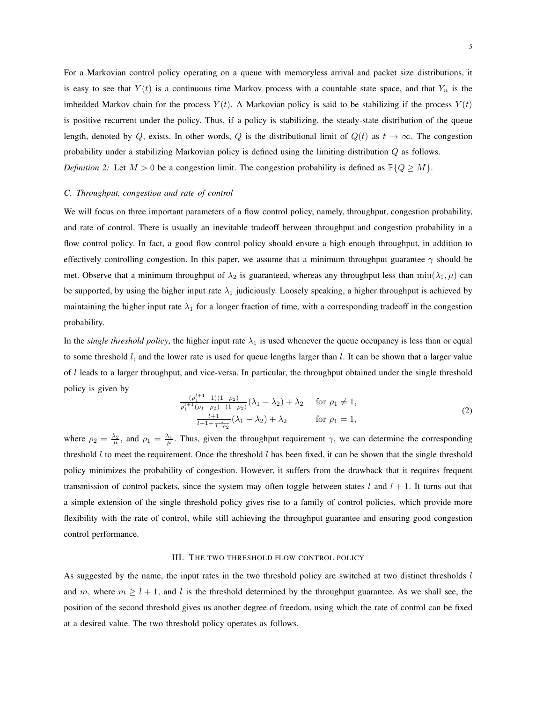For a Markovian control policy operating on a queue with memoryless arrival and packet size distributions, it is easy to see that  $Y(t)$  is a continuous time Markov process with a countable state space, and that  $Y_n$  is the imbedded Markov chain for the process  $Y(t)$ . A Markovian policy is said to be stabilizing if the process  $Y(t)$ is positive recurrent under the policy. Thus, if a policy is stabilizing, the steady-state distribution of the queue length, denoted by Q, exists. In other words, Q is the distributional limit of  $Q(t)$  as  $t \to \infty$ . The congestion probability under a stabilizing Markovian policy is defined using the limiting distribution Q as follows. *Definition 2:* Let  $M > 0$  be a congestion limit. The congestion probability is defined as  $\mathbb{P}{Q \geq M}$ .

#### *C. Throughput, congestion and rate of control*

We will focus on three important parameters of a flow control policy, namely, throughput, congestion probability, and rate of control. There is usually an inevitable tradeoff between throughput and congestion probability in a flow control policy. In fact, a good flow control policy should ensure a high enough throughput, in addition to effectively controlling congestion. In this paper, we assume that a minimum throughput guarantee  $\gamma$  should be met. Observe that a minimum throughput of  $\lambda_2$  is guaranteed, whereas any throughput less than  $\min(\lambda_1, \mu)$  can be supported, by using the higher input rate  $\lambda_1$  judiciously. Loosely speaking, a higher throughput is achieved by maintaining the higher input rate  $\lambda_1$  for a longer fraction of time, with a corresponding tradeoff in the congestion probability.

In the *single threshold policy*, the higher input rate  $\lambda_1$  is used whenever the queue occupancy is less than or equal to some threshold  $l$ , and the lower rate is used for queue lengths larger than  $l$ . It can be shown that a larger value of l leads to a larger throughput, and vice-versa. In particular, the throughput obtained under the single threshold policy is given by

$$
\frac{(\rho_1^{l+1}-1)(1-\rho_2)}{\rho_1^{l+1}(\rho_1-\rho_2)-(1-\rho_2)}(\lambda_1-\lambda_2)+\lambda_2 \quad \text{for } \rho_1 \neq 1,
$$
  

$$
\frac{l+1}{l+1+\frac{1}{1-\rho_2}}(\lambda_1-\lambda_2)+\lambda_2 \quad \text{for } \rho_1=1,
$$
 (2)

where  $\rho_2 = \frac{\lambda_2}{\mu}$ , and  $\rho_1 = \frac{\lambda_1}{\mu}$ . Thus, given the throughput requirement  $\gamma$ , we can determine the corresponding threshold  $l$  to meet the requirement. Once the threshold  $l$  has been fixed, it can be shown that the single threshold policy minimizes the probability of congestion. However, it suffers from the drawback that it requires frequent transmission of control packets, since the system may often toggle between states l and  $l + 1$ . It turns out that a simple extension of the single threshold policy gives rise to a family of control policies, which provide more flexibility with the rate of control, while still achieving the throughput guarantee and ensuring good congestion control performance.

## III. THE TWO THRESHOLD FLOW CONTROL POLICY

As suggested by the name, the input rates in the two threshold policy are switched at two distinct thresholds l and m, where  $m \geq l + 1$ , and l is the threshold determined by the throughput guarantee. As we shall see, the position of the second threshold gives us another degree of freedom, using which the rate of control can be fixed at a desired value. The two threshold policy operates as follows.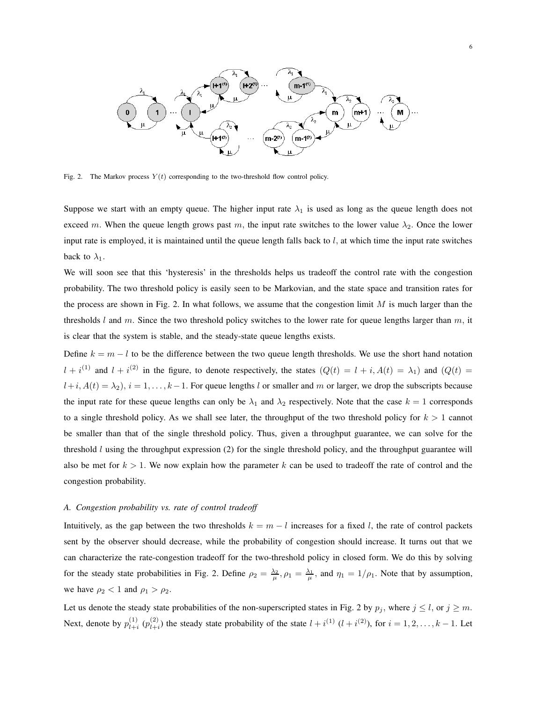

Fig. 2. The Markov process  $Y(t)$  corresponding to the two-threshold flow control policy.

Suppose we start with an empty queue. The higher input rate  $\lambda_1$  is used as long as the queue length does not exceed m. When the queue length grows past m, the input rate switches to the lower value  $\lambda_2$ . Once the lower input rate is employed, it is maintained until the queue length falls back to  $l$ , at which time the input rate switches back to  $\lambda_1$ .

We will soon see that this 'hysteresis' in the thresholds helps us tradeoff the control rate with the congestion probability. The two threshold policy is easily seen to be Markovian, and the state space and transition rates for the process are shown in Fig. 2. In what follows, we assume that the congestion limit  $M$  is much larger than the thresholds l and m. Since the two threshold policy switches to the lower rate for queue lengths larger than  $m$ , it is clear that the system is stable, and the steady-state queue lengths exists.

Define  $k = m - l$  to be the difference between the two queue length thresholds. We use the short hand notation  $l + i^{(1)}$  and  $l + i^{(2)}$  in the figure, to denote respectively, the states  $(Q(t) = l + i, A(t) = \lambda_1)$  and  $(Q(t) =$  $l+i, A(t) = \lambda_2$ ,  $i = 1, \ldots, k-1$ . For queue lengths l or smaller and m or larger, we drop the subscripts because the input rate for these queue lengths can only be  $\lambda_1$  and  $\lambda_2$  respectively. Note that the case  $k = 1$  corresponds to a single threshold policy. As we shall see later, the throughput of the two threshold policy for  $k > 1$  cannot be smaller than that of the single threshold policy. Thus, given a throughput guarantee, we can solve for the threshold  $l$  using the throughput expression (2) for the single threshold policy, and the throughput guarantee will also be met for  $k > 1$ . We now explain how the parameter k can be used to tradeoff the rate of control and the congestion probability.

## *A. Congestion probability vs. rate of control tradeoff*

Intuitively, as the gap between the two thresholds  $k = m - l$  increases for a fixed l, the rate of control packets sent by the observer should decrease, while the probability of congestion should increase. It turns out that we can characterize the rate-congestion tradeoff for the two-threshold policy in closed form. We do this by solving for the steady state probabilities in Fig. 2. Define  $\rho_2 = \frac{\lambda_2}{\mu}, \rho_1 = \frac{\lambda_1}{\mu},$  and  $\eta_1 = 1/\rho_1$ . Note that by assumption, we have  $\rho_2 < 1$  and  $\rho_1 > \rho_2$ .

Let us denote the steady state probabilities of the non-superscripted states in Fig. 2 by  $p_j$ , where  $j \leq l$ , or  $j \geq m$ . Next, denote by  $p_{l+1}^{(1)}$  $\binom{1}{l+i}$   $\binom{p(2)}{l+i}$  $\binom{2}{l+i}$  the steady state probability of the state  $l + i^{(1)}$   $(l + i^{(2)})$ , for  $i = 1, 2, ..., k - 1$ . Let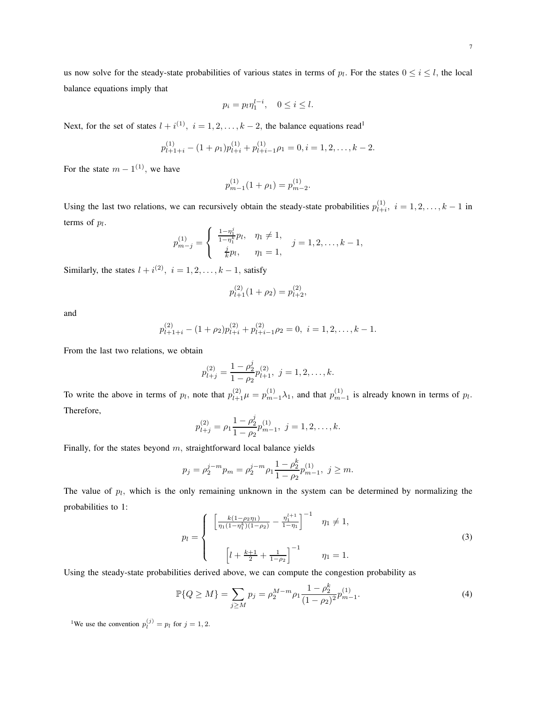us now solve for the steady-state probabilities of various states in terms of  $p_l$ . For the states  $0 \le i \le l$ , the local balance equations imply that

$$
p_i = p_l \eta_1^{l-i}, \quad 0 \le i \le l.
$$

Next, for the set of states  $l + i^{(1)}$ ,  $i = 1, 2, ..., k - 2$ , the balance equations read<sup>1</sup>

$$
p_{l+1+i}^{(1)} - (1+\rho_1)p_{l+i}^{(1)} + p_{l+i-1}^{(1)}\rho_1 = 0, i = 1, 2, ..., k-2.
$$

For the state  $m - 1^{(1)}$ , we have

$$
p_{m-1}^{(1)}(1+\rho_1) = p_{m-2}^{(1)}.
$$

Using the last two relations, we can recursively obtain the steady-state probabilities  $p_{l+4}^{(1)}$  $\binom{1}{i+i}$ ,  $i = 1, 2, \ldots, k-1$  in terms of  $p_l$ .

$$
p_{m-j}^{(1)} = \begin{cases} \frac{1-\eta_1^j}{1-\eta_1^k}p_l, & \eta_1 \neq 1, \\ \frac{j}{k}p_l, & \eta_1 = 1, \end{cases} \quad j = 1, 2, \dots, k-1,
$$

Similarly, the states  $l + i^{(2)}$ ,  $i = 1, 2, ..., k - 1$ , satisfy

$$
p_{l+1}^{(2)}(1+\rho_2) = p_{l+2}^{(2)},
$$

and

$$
p_{l+1+i}^{(2)} - (1+\rho_2)p_{l+i}^{(2)} + p_{l+i-1}^{(2)}\rho_2 = 0, \ i = 1,2,\ldots,k-1.
$$

From the last two relations, we obtain

$$
p_{l+j}^{(2)} = \frac{1 - \rho_2^j}{1 - \rho_2} p_{l+1}^{(2)}, \ j = 1, 2, \dots, k.
$$

To write the above in terms of  $p_l$ , note that  $p_{l+1}^{(2)}\mu = p_{m-1}^{(1)}\lambda_1$ , and that  $p_{m-1}^{(1)}$  is already known in terms of  $p_l$ . Therefore,

$$
p_{l+j}^{(2)} = \rho_1 \frac{1 - \rho_2^j}{1 - \rho_2} p_{m-1}^{(1)}, \ j = 1, 2, \dots, k.
$$

Finally, for the states beyond  $m$ , straightforward local balance yields

$$
p_j = \rho_2^{j-m} p_m = \rho_2^{j-m} \rho_1 \frac{1 - \rho_2^k}{1 - \rho_2} p_{m-1}^{(1)}, \ j \ge m.
$$

The value of  $p_l$ , which is the only remaining unknown in the system can be determined by normalizing the probabilities to 1:

$$
p_l = \begin{cases} \left[ \frac{k(1-\rho_2\eta_1)}{\eta_1(1-\eta_1^k)(1-\rho_2)} - \frac{\eta_1^{l+1}}{1-\eta_1} \right]^{-1} & \eta_1 \neq 1, \\ \left[ l + \frac{k+1}{2} + \frac{1}{1-\rho_2} \right]^{-1} & \eta_1 = 1. \end{cases} \tag{3}
$$

Using the steady-state probabilities derived above, we can compute the congestion probability as

$$
\mathbb{P}\{Q \ge M\} = \sum_{j \ge M} p_j = \rho_2^{M-m} \rho_1 \frac{1 - \rho_2^k}{(1 - \rho_2)^2} p_{m-1}^{(1)}.
$$
\n(4)

<sup>1</sup>We use the convention  $p_l^{(j)} = p_l$  for  $j = 1, 2$ .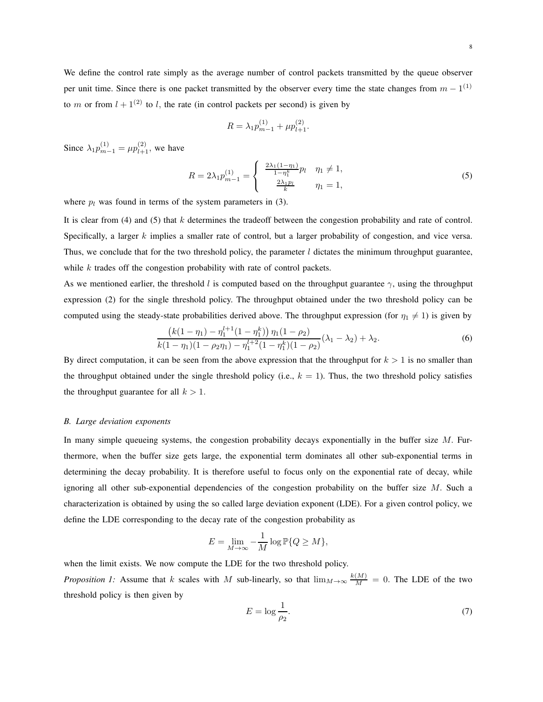We define the control rate simply as the average number of control packets transmitted by the queue observer per unit time. Since there is one packet transmitted by the observer every time the state changes from  $m - 1^{(1)}$ to m or from  $l + 1^{(2)}$  to l, the rate (in control packets per second) is given by

$$
R = \lambda_1 p_{m-1}^{(1)} + \mu p_{l+1}^{(2)}.
$$

Since  $\lambda_1 p_{m-1}^{(1)} = \mu p_{l+1}^{(2)}$ , we have

$$
R = 2\lambda_1 p_{m-1}^{(1)} = \begin{cases} \frac{2\lambda_1(1-\eta_1)}{1-\eta_1^k} p_l & \eta_1 \neq 1, \\ \frac{2\lambda_1 p_l}{k} & \eta_1 = 1, \end{cases}
$$
 (5)

where  $p_l$  was found in terms of the system parameters in (3).

It is clear from (4) and (5) that k determines the tradeoff between the congestion probability and rate of control. Specifically, a larger k implies a smaller rate of control, but a larger probability of congestion, and vice versa. Thus, we conclude that for the two threshold policy, the parameter  $l$  dictates the minimum throughput guarantee, while  $k$  trades off the congestion probability with rate of control packets.

As we mentioned earlier, the threshold l is computed based on the throughput guarantee  $\gamma$ , using the throughput expression (2) for the single threshold policy. The throughput obtained under the two threshold policy can be computed using the steady-state probabilities derived above. The throughput expression (for  $\eta_1 \neq 1$ ) is given by

$$
\frac{\left(k(1-\eta_1)-\eta_1^{l+1}(1-\eta_1^k)\right)\eta_1(1-\rho_2)}{k(1-\eta_1)(1-\rho_2\eta_1)-\eta_1^{l+2}(1-\eta_1^k)(1-\rho_2)}(\lambda_1-\lambda_2)+\lambda_2.
$$
\n(6)

By direct computation, it can be seen from the above expression that the throughput for  $k > 1$  is no smaller than the throughput obtained under the single threshold policy (i.e.,  $k = 1$ ). Thus, the two threshold policy satisfies the throughput guarantee for all  $k > 1$ .

#### *B. Large deviation exponents*

In many simple queueing systems, the congestion probability decays exponentially in the buffer size M. Furthermore, when the buffer size gets large, the exponential term dominates all other sub-exponential terms in determining the decay probability. It is therefore useful to focus only on the exponential rate of decay, while ignoring all other sub-exponential dependencies of the congestion probability on the buffer size  $M$ . Such a characterization is obtained by using the so called large deviation exponent (LDE). For a given control policy, we define the LDE corresponding to the decay rate of the congestion probability as

$$
E = \lim_{M \to \infty} -\frac{1}{M} \log \mathbb{P} \{ Q \ge M \},\
$$

when the limit exists. We now compute the LDE for the two threshold policy.

*Proposition 1:* Assume that k scales with M sub-linearly, so that  $\lim_{M\to\infty} \frac{k(M)}{M} = 0$ . The LDE of the two threshold policy is then given by

$$
E = \log \frac{1}{\rho_2}.\tag{7}
$$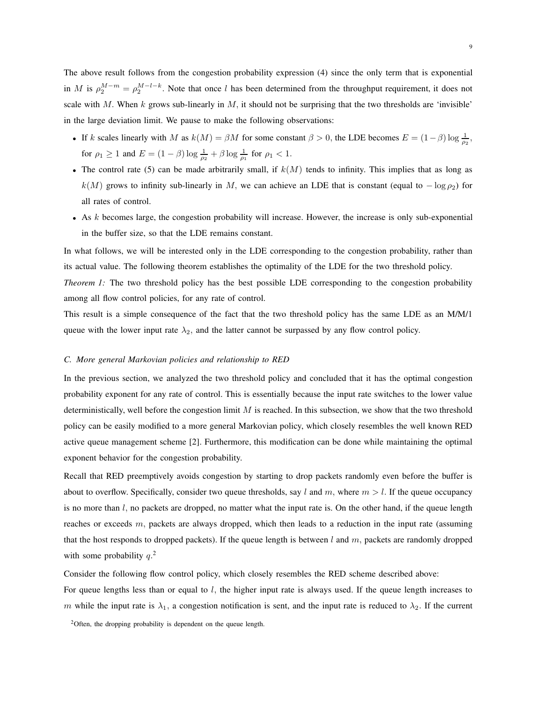The above result follows from the congestion probability expression (4) since the only term that is exponential in M is  $\rho_2^{M-m} = \rho_2^{M-l-k}$ . Note that once l has been determined from the throughput requirement, it does not scale with M. When k grows sub-linearly in M, it should not be surprising that the two thresholds are 'invisible' in the large deviation limit. We pause to make the following observations:

- If k scales linearly with M as  $k(M) = \beta M$  for some constant  $\beta > 0$ , the LDE becomes  $E = (1 \beta) \log \frac{1}{\rho_2}$ , for  $\rho_1 \ge 1$  and  $E = (1 - \beta) \log \frac{1}{\rho_2} + \beta \log \frac{1}{\rho_1}$  for  $\rho_1 < 1$ .
- The control rate (5) can be made arbitrarily small, if  $k(M)$  tends to infinity. This implies that as long as k(M) grows to infinity sub-linearly in M, we can achieve an LDE that is constant (equal to  $-\log \rho_2$ ) for all rates of control.
- As k becomes large, the congestion probability will increase. However, the increase is only sub-exponential in the buffer size, so that the LDE remains constant.

In what follows, we will be interested only in the LDE corresponding to the congestion probability, rather than its actual value. The following theorem establishes the optimality of the LDE for the two threshold policy.

*Theorem 1:* The two threshold policy has the best possible LDE corresponding to the congestion probability among all flow control policies, for any rate of control.

This result is a simple consequence of the fact that the two threshold policy has the same LDE as an M/M/1 queue with the lower input rate  $\lambda_2$ , and the latter cannot be surpassed by any flow control policy.

### *C. More general Markovian policies and relationship to RED*

In the previous section, we analyzed the two threshold policy and concluded that it has the optimal congestion probability exponent for any rate of control. This is essentially because the input rate switches to the lower value deterministically, well before the congestion limit  $M$  is reached. In this subsection, we show that the two threshold policy can be easily modified to a more general Markovian policy, which closely resembles the well known RED active queue management scheme [2]. Furthermore, this modification can be done while maintaining the optimal exponent behavior for the congestion probability.

Recall that RED preemptively avoids congestion by starting to drop packets randomly even before the buffer is about to overflow. Specifically, consider two queue thresholds, say l and m, where  $m > l$ . If the queue occupancy is no more than  $l$ , no packets are dropped, no matter what the input rate is. On the other hand, if the queue length reaches or exceeds m, packets are always dropped, which then leads to a reduction in the input rate (assuming that the host responds to dropped packets). If the queue length is between  $l$  and  $m$ , packets are randomly dropped with some probability  $q<sup>2</sup>$ .

Consider the following flow control policy, which closely resembles the RED scheme described above:

For queue lengths less than or equal to  $l$ , the higher input rate is always used. If the queue length increases to m while the input rate is  $\lambda_1$ , a congestion notification is sent, and the input rate is reduced to  $\lambda_2$ . If the current

<sup>2</sup>Often, the dropping probability is dependent on the queue length.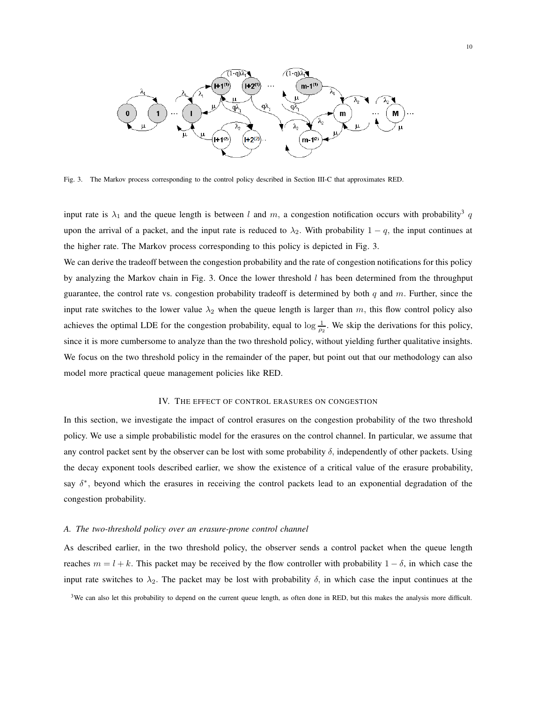

Fig. 3. The Markov process corresponding to the control policy described in Section III-C that approximates RED.

input rate is  $\lambda_1$  and the queue length is between l and m, a congestion notification occurs with probability<sup>3</sup> q upon the arrival of a packet, and the input rate is reduced to  $\lambda_2$ . With probability  $1 - q$ , the input continues at the higher rate. The Markov process corresponding to this policy is depicted in Fig. 3.

We can derive the tradeoff between the congestion probability and the rate of congestion notifications for this policy by analyzing the Markov chain in Fig. 3. Once the lower threshold  $l$  has been determined from the throughput guarantee, the control rate vs. congestion probability tradeoff is determined by both  $q$  and  $m$ . Further, since the input rate switches to the lower value  $\lambda_2$  when the queue length is larger than m, this flow control policy also achieves the optimal LDE for the congestion probability, equal to  $\log \frac{1}{\rho_2}$ . We skip the derivations for this policy, since it is more cumbersome to analyze than the two threshold policy, without yielding further qualitative insights. We focus on the two threshold policy in the remainder of the paper, but point out that our methodology can also model more practical queue management policies like RED.

#### IV. THE EFFECT OF CONTROL ERASURES ON CONGESTION

In this section, we investigate the impact of control erasures on the congestion probability of the two threshold policy. We use a simple probabilistic model for the erasures on the control channel. In particular, we assume that any control packet sent by the observer can be lost with some probability  $\delta$ , independently of other packets. Using the decay exponent tools described earlier, we show the existence of a critical value of the erasure probability, say  $\delta^*$ , beyond which the erasures in receiving the control packets lead to an exponential degradation of the congestion probability.

#### *A. The two-threshold policy over an erasure-prone control channel*

As described earlier, in the two threshold policy, the observer sends a control packet when the queue length reaches  $m = l + k$ . This packet may be received by the flow controller with probability  $1 - \delta$ , in which case the input rate switches to  $\lambda_2$ . The packet may be lost with probability  $\delta$ , in which case the input continues at the

<sup>3</sup>We can also let this probability to depend on the current queue length, as often done in RED, but this makes the analysis more difficult.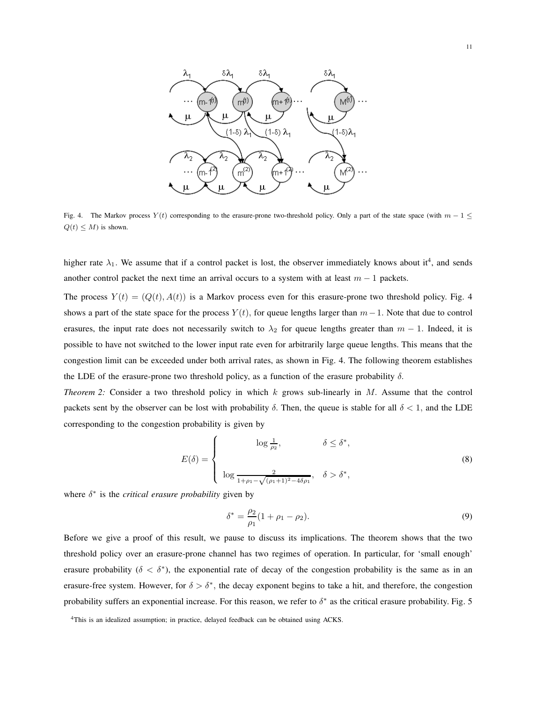

Fig. 4. The Markov process  $Y(t)$  corresponding to the erasure-prone two-threshold policy. Only a part of the state space (with  $m - 1 \leq$  $Q(t) \leq M$ ) is shown.

higher rate  $\lambda_1$ . We assume that if a control packet is lost, the observer immediately knows about it<sup>4</sup>, and sends another control packet the next time an arrival occurs to a system with at least  $m - 1$  packets.

The process  $Y(t) = (Q(t), A(t))$  is a Markov process even for this erasure-prone two threshold policy. Fig. 4 shows a part of the state space for the process  $Y(t)$ , for queue lengths larger than  $m-1$ . Note that due to control erasures, the input rate does not necessarily switch to  $\lambda_2$  for queue lengths greater than  $m - 1$ . Indeed, it is possible to have not switched to the lower input rate even for arbitrarily large queue lengths. This means that the congestion limit can be exceeded under both arrival rates, as shown in Fig. 4. The following theorem establishes the LDE of the erasure-prone two threshold policy, as a function of the erasure probability  $\delta$ .

*Theorem 2:* Consider a two threshold policy in which k grows sub-linearly in M. Assume that the control packets sent by the observer can be lost with probability  $\delta$ . Then, the queue is stable for all  $\delta$  < 1, and the LDE corresponding to the congestion probability is given by

$$
E(\delta) = \begin{cases} \log \frac{1}{\rho_2}, & \delta \le \delta^*, \\ \log \frac{2}{1 + \rho_1 - \sqrt{(\rho_1 + 1)^2 - 4\delta \rho_1}}, & \delta > \delta^*, \end{cases}
$$
(8)

where  $\delta^*$  is the *critical erasure probability* given by

$$
\delta^* = \frac{\rho_2}{\rho_1} (1 + \rho_1 - \rho_2). \tag{9}
$$

Before we give a proof of this result, we pause to discuss its implications. The theorem shows that the two threshold policy over an erasure-prone channel has two regimes of operation. In particular, for 'small enough' erasure probability ( $\delta < \delta^*$ ), the exponential rate of decay of the congestion probability is the same as in an erasure-free system. However, for  $\delta > \delta^*$ , the decay exponent begins to take a hit, and therefore, the congestion probability suffers an exponential increase. For this reason, we refer to  $\delta^*$  as the critical erasure probability. Fig. 5

<sup>4</sup>This is an idealized assumption; in practice, delayed feedback can be obtained using ACKS.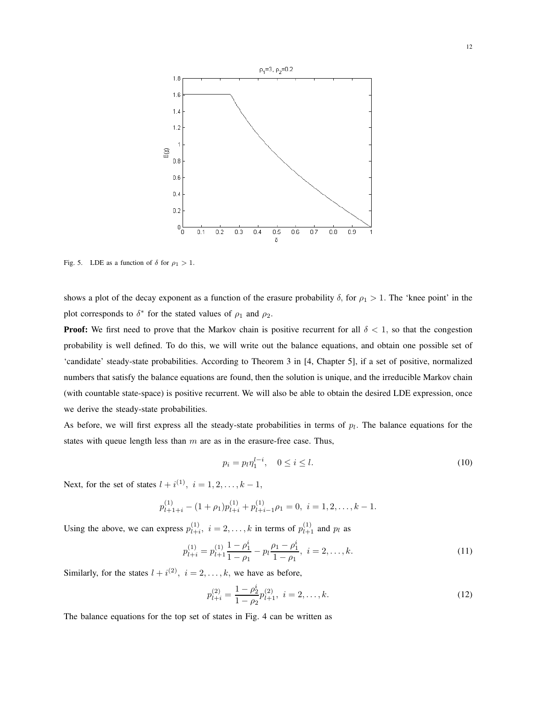

Fig. 5. LDE as a function of  $\delta$  for  $\rho_1 > 1$ .

shows a plot of the decay exponent as a function of the erasure probability  $\delta$ , for  $\rho_1 > 1$ . The 'knee point' in the plot corresponds to  $\delta^*$  for the stated values of  $\rho_1$  and  $\rho_2$ .

**Proof:** We first need to prove that the Markov chain is positive recurrent for all  $\delta < 1$ , so that the congestion probability is well defined. To do this, we will write out the balance equations, and obtain one possible set of 'candidate' steady-state probabilities. According to Theorem 3 in [4, Chapter 5], if a set of positive, normalized numbers that satisfy the balance equations are found, then the solution is unique, and the irreducible Markov chain (with countable state-space) is positive recurrent. We will also be able to obtain the desired LDE expression, once we derive the steady-state probabilities.

As before, we will first express all the steady-state probabilities in terms of  $p_l$ . The balance equations for the states with queue length less than  $m$  are as in the erasure-free case. Thus,

$$
p_i = p_l \eta_1^{l-i}, \quad 0 \le i \le l. \tag{10}
$$

Next, for the set of states  $l + i^{(1)}$ ,  $i = 1, 2, ..., k - 1$ ,

$$
p_{l+1+i}^{(1)} - (1+\rho_1)p_{l+i}^{(1)} + p_{l+i-1}^{(1)}\rho_1 = 0, \ i = 1, 2, \dots, k-1.
$$

Using the above, we can express  $p_{l+1}^{(1)}$  $\ell_{l+i}^{(1)}$ ,  $i = 2, ..., k$  in terms of  $p_{l+1}^{(1)}$  and  $p_l$  as

$$
p_{l+i}^{(1)} = p_{l+1}^{(1)} \frac{1 - \rho_1^i}{1 - \rho_1} - p_l \frac{\rho_1 - \rho_1^i}{1 - \rho_1}, \ i = 2, \dots, k.
$$
 (11)

Similarly, for the states  $l + i^{(2)}$ ,  $i = 2, ..., k$ , we have as before,

$$
p_{l+i}^{(2)} = \frac{1 - \rho_2^i}{1 - \rho_2} p_{l+1}^{(2)}, \ i = 2, \dots, k.
$$
 (12)

The balance equations for the top set of states in Fig. 4 can be written as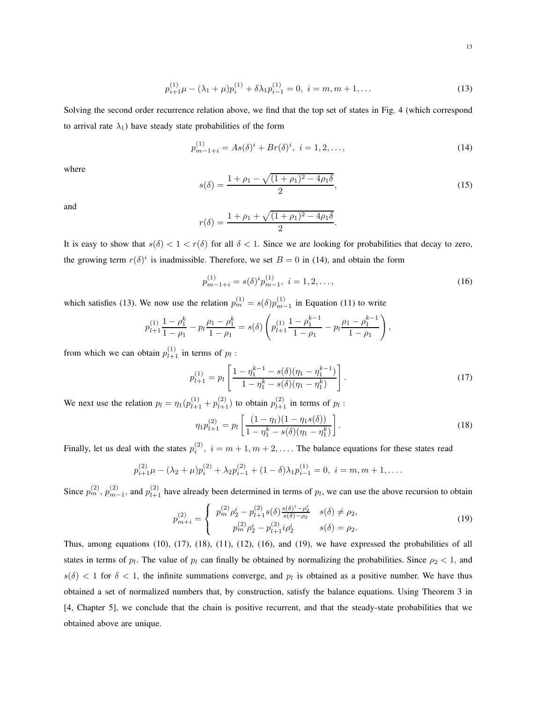$$
p_{i+1}^{(1)}\mu - (\lambda_1 + \mu)p_i^{(1)} + \delta\lambda_1 p_{i-1}^{(1)} = 0, \ i = m, m+1, \dots
$$
 (13)

Solving the second order recurrence relation above, we find that the top set of states in Fig. 4 (which correspond to arrival rate  $\lambda_1$ ) have steady state probabilities of the form

$$
p_{m-1+i}^{(1)} = As(\delta)^{i} + Br(\delta)^{i}, \ i = 1, 2, \dots,
$$
\n(14)

where

$$
s(\delta) = \frac{1 + \rho_1 - \sqrt{(1 + \rho_1)^2 - 4\rho_1 \delta}}{2},\tag{15}
$$

and

$$
r(\delta) = \frac{1 + \rho_1 + \sqrt{(1 + \rho_1)^2 - 4\rho_1 \delta}}{2}.
$$

It is easy to show that  $s(\delta) < 1 < r(\delta)$  for all  $\delta < 1$ . Since we are looking for probabilities that decay to zero, the growing term  $r(\delta)^i$  is inadmissible. Therefore, we set  $B = 0$  in (14), and obtain the form

$$
p_{m-1+i}^{(1)} = s(\delta)^{i} p_{m-1}^{(1)}, \ i = 1, 2, \dots,
$$
\n(16)

which satisfies (13). We now use the relation  $p_m^{(1)} = s(\delta)p_{m-1}^{(1)}$  in Equation (11) to write

$$
p_{l+1}^{(1)}\frac{1-\rho_1^k}{1-\rho_1} - p_l\frac{\rho_1-\rho_1^k}{1-\rho_1} = s(\delta)\left(p_{l+1}^{(1)}\frac{1-\rho_1^{k-1}}{1-\rho_1} - p_l\frac{\rho_1-\rho_1^{k-1}}{1-\rho_1}\right),
$$

from which we can obtain  $p_{l+1}^{(1)}$  in terms of  $p_l$ :

$$
p_{l+1}^{(1)} = p_l \left[ \frac{1 - \eta_1^{k-1} - s(\delta)(\eta_1 - \eta_1^{k-1})}{1 - \eta_1^k - s(\delta)(\eta_1 - \eta_1^k)} \right].
$$
 (17)

We next use the relation  $p_l = \eta_1(p_{l+1}^{(1)} + p_{l+1}^{(2)})$  to obtain  $p_{l+1}^{(2)}$  in terms of  $p_l$ :

$$
\eta_1 p_{l+1}^{(2)} = p_l \left[ \frac{(1 - \eta_1)(1 - \eta_1 s(\delta))}{1 - \eta_1^k - s(\delta)(\eta_1 - \eta_1^k)} \right].
$$
\n(18)

Finally, let us deal with the states  $p_i^{(2)}$ ,  $i = m + 1, m + 2, \ldots$ . The balance equations for these states read

$$
p_{i+1}^{(2)}\mu - (\lambda_2 + \mu)p_i^{(2)} + \lambda_2p_{i-1}^{(2)} + (1-\delta)\lambda_1p_{i-1}^{(1)} = 0, \ i = m, m+1, \dots
$$

Since  $p_m^{(2)}$ ,  $p_{m-1}^{(2)}$ , and  $p_{l+1}^{(2)}$  have already been determined in terms of  $p_l$ , we can use the above recursion to obtain

$$
p_{m+i}^{(2)} = \begin{cases} p_m^{(2)} \rho_2^i - p_{l+1}^{(2)} s(\delta) \frac{s(\delta)^i - \rho_2^i}{s(\delta) - \rho_2} & s(\delta) \neq \rho_2, \\ p_m^{(2)} \rho_2^i - p_{l+1}^{(2)} i \rho_2^i & s(\delta) = \rho_2. \end{cases}
$$
(19)

Thus, among equations (10), (17), (18), (11), (12), (16), and (19), we have expressed the probabilities of all states in terms of  $p_l$ . The value of  $p_l$  can finally be obtained by normalizing the probabilities. Since  $\rho_2 < 1$ , and  $s(\delta) < 1$  for  $\delta < 1$ , the infinite summations converge, and  $p_l$  is obtained as a positive number. We have thus obtained a set of normalized numbers that, by construction, satisfy the balance equations. Using Theorem 3 in [4, Chapter 5], we conclude that the chain is positive recurrent, and that the steady-state probabilities that we obtained above are unique.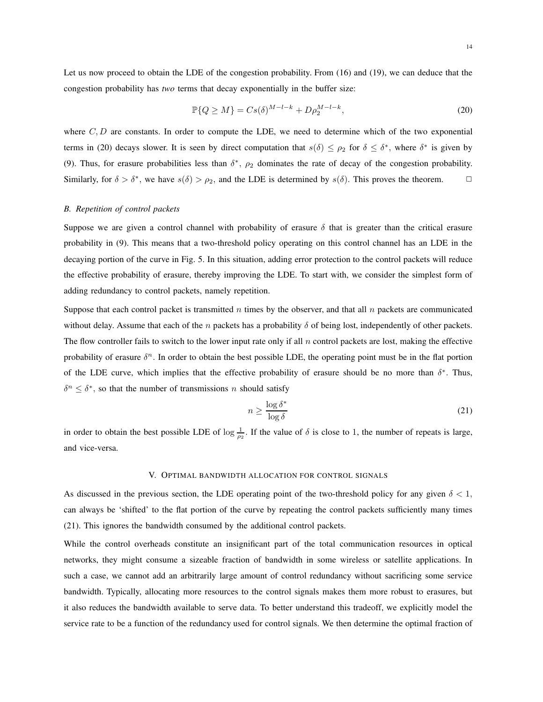Let us now proceed to obtain the LDE of the congestion probability. From (16) and (19), we can deduce that the congestion probability has *two* terms that decay exponentially in the buffer size:

$$
\mathbb{P}\{Q \ge M\} = Cs(\delta)^{M-l-k} + D\rho_2^{M-l-k},\tag{20}
$$

where  $C, D$  are constants. In order to compute the LDE, we need to determine which of the two exponential terms in (20) decays slower. It is seen by direct computation that  $s(\delta) \le \rho_2$  for  $\delta \le \delta^*$ , where  $\delta^*$  is given by (9). Thus, for erasure probabilities less than  $\delta^*$ ,  $\rho_2$  dominates the rate of decay of the congestion probability. Similarly, for  $\delta > \delta^*$ , we have  $s(\delta) > \rho_2$ , and the LDE is determined by  $s(\delta)$ . This proves the theorem.  $\Box$ 

## *B. Repetition of control packets*

Suppose we are given a control channel with probability of erasure  $\delta$  that is greater than the critical erasure probability in (9). This means that a two-threshold policy operating on this control channel has an LDE in the decaying portion of the curve in Fig. 5. In this situation, adding error protection to the control packets will reduce the effective probability of erasure, thereby improving the LDE. To start with, we consider the simplest form of adding redundancy to control packets, namely repetition.

Suppose that each control packet is transmitted n times by the observer, and that all  $n$  packets are communicated without delay. Assume that each of the n packets has a probability  $\delta$  of being lost, independently of other packets. The flow controller fails to switch to the lower input rate only if all  $n$  control packets are lost, making the effective probability of erasure  $\delta^n$ . In order to obtain the best possible LDE, the operating point must be in the flat portion of the LDE curve, which implies that the effective probability of erasure should be no more than  $\delta^*$ . Thus,  $\delta^n \leq \delta^*$ , so that the number of transmissions *n* should satisfy

$$
n \ge \frac{\log \delta^*}{\log \delta} \tag{21}
$$

in order to obtain the best possible LDE of  $\log \frac{1}{\rho_2}$ . If the value of  $\delta$  is close to 1, the number of repeats is large, and vice-versa.

#### V. OPTIMAL BANDWIDTH ALLOCATION FOR CONTROL SIGNALS

As discussed in the previous section, the LDE operating point of the two-threshold policy for any given  $\delta < 1$ , can always be 'shifted' to the flat portion of the curve by repeating the control packets sufficiently many times (21). This ignores the bandwidth consumed by the additional control packets.

While the control overheads constitute an insignificant part of the total communication resources in optical networks, they might consume a sizeable fraction of bandwidth in some wireless or satellite applications. In such a case, we cannot add an arbitrarily large amount of control redundancy without sacrificing some service bandwidth. Typically, allocating more resources to the control signals makes them more robust to erasures, but it also reduces the bandwidth available to serve data. To better understand this tradeoff, we explicitly model the service rate to be a function of the redundancy used for control signals. We then determine the optimal fraction of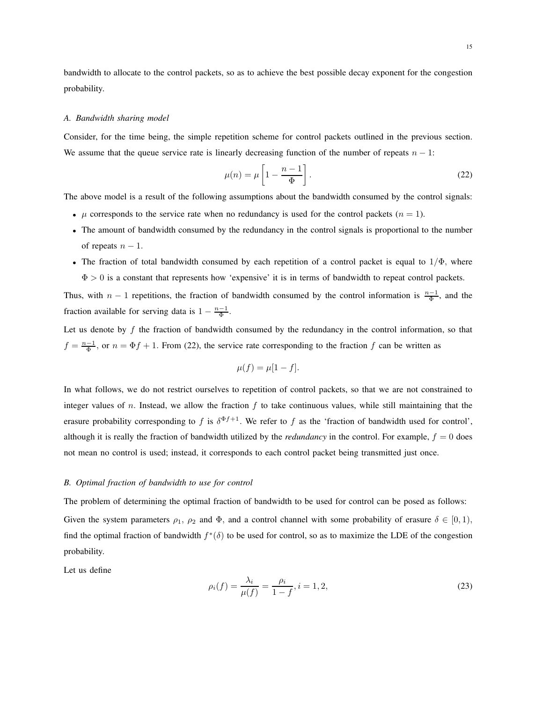bandwidth to allocate to the control packets, so as to achieve the best possible decay exponent for the congestion probability.

#### *A. Bandwidth sharing model*

Consider, for the time being, the simple repetition scheme for control packets outlined in the previous section. We assume that the queue service rate is linearly decreasing function of the number of repeats  $n - 1$ :

$$
\mu(n) = \mu \left[ 1 - \frac{n-1}{\Phi} \right].
$$
\n(22)

The above model is a result of the following assumptions about the bandwidth consumed by the control signals:

- $\mu$  corresponds to the service rate when no redundancy is used for the control packets ( $n = 1$ ).
- The amount of bandwidth consumed by the redundancy in the control signals is proportional to the number of repeats  $n - 1$ .
- The fraction of total bandwidth consumed by each repetition of a control packet is equal to  $1/\Phi$ , where  $\Phi > 0$  is a constant that represents how 'expensive' it is in terms of bandwidth to repeat control packets.

Thus, with  $n-1$  repetitions, the fraction of bandwidth consumed by the control information is  $\frac{n-1}{\Phi}$ , and the fraction available for serving data is  $1 - \frac{n-1}{\Phi}$ .

Let us denote by  $f$  the fraction of bandwidth consumed by the redundancy in the control information, so that  $f = \frac{n-1}{\Phi}$ , or  $n = \Phi f + 1$ . From (22), the service rate corresponding to the fraction f can be written as

$$
\mu(f) = \mu[1 - f].
$$

In what follows, we do not restrict ourselves to repetition of control packets, so that we are not constrained to integer values of n. Instead, we allow the fraction  $f$  to take continuous values, while still maintaining that the erasure probability corresponding to f is  $\delta^{\Phi f+1}$ . We refer to f as the 'fraction of bandwidth used for control', although it is really the fraction of bandwidth utilized by the *redundancy* in the control. For example,  $f = 0$  does not mean no control is used; instead, it corresponds to each control packet being transmitted just once.

## *B. Optimal fraction of bandwidth to use for control*

The problem of determining the optimal fraction of bandwidth to be used for control can be posed as follows: Given the system parameters  $\rho_1$ ,  $\rho_2$  and  $\Phi$ , and a control channel with some probability of erasure  $\delta \in [0,1)$ , find the optimal fraction of bandwidth  $f^*(\delta)$  to be used for control, so as to maximize the LDE of the congestion probability.

Let us define

$$
\rho_i(f) = \frac{\lambda_i}{\mu(f)} = \frac{\rho_i}{1 - f}, i = 1, 2,
$$
\n(23)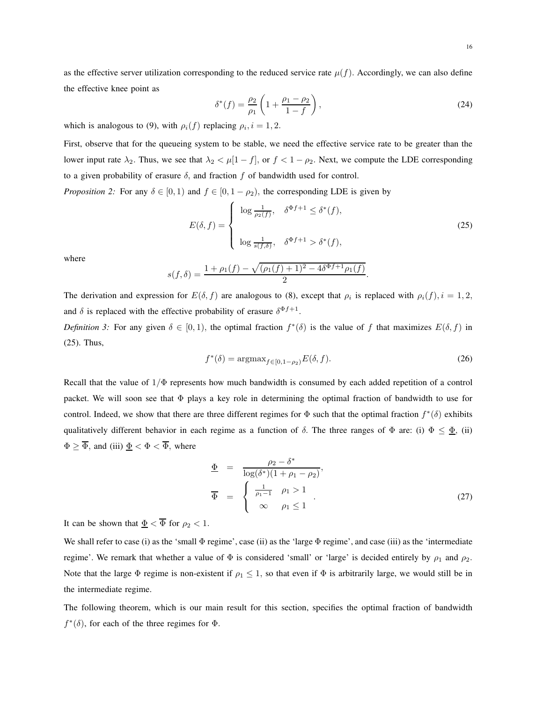as the effective server utilization corresponding to the reduced service rate  $\mu(f)$ . Accordingly, we can also define the effective knee point as

$$
\delta^*(f) = \frac{\rho_2}{\rho_1} \left( 1 + \frac{\rho_1 - \rho_2}{1 - f} \right),\tag{24}
$$

which is analogous to (9), with  $\rho_i(f)$  replacing  $\rho_i, i = 1, 2$ .

First, observe that for the queueing system to be stable, we need the effective service rate to be greater than the lower input rate  $\lambda_2$ . Thus, we see that  $\lambda_2 < \mu[1-f]$ , or  $f < 1 - \rho_2$ . Next, we compute the LDE corresponding to a given probability of erasure  $\delta$ , and fraction f of bandwidth used for control.

*Proposition 2:* For any  $\delta \in [0, 1)$  and  $f \in [0, 1 - \rho_2)$ , the corresponding LDE is given by

$$
E(\delta, f) = \begin{cases} \log \frac{1}{\rho_2(f)}, & \delta^{\Phi f + 1} \leq \delta^*(f), \\ \log \frac{1}{s(f, \delta)}, & \delta^{\Phi f + 1} > \delta^*(f), \end{cases}
$$
 (25)

where

$$
s(f,\delta) = \frac{1 + \rho_1(f) - \sqrt{(\rho_1(f) + 1)^2 - 4\delta^{\Phi f + 1} \rho_1(f)}}{2}.
$$

The derivation and expression for  $E(\delta, f)$  are analogous to (8), except that  $\rho_i$  is replaced with  $\rho_i(f)$ ,  $i = 1, 2$ , and  $\delta$  is replaced with the effective probability of erasure  $\delta^{\Phi f + 1}$ .

*Definition 3:* For any given  $\delta \in [0,1)$ , the optimal fraction  $f^*(\delta)$  is the value of f that maximizes  $E(\delta, f)$  in (25). Thus,

$$
f^*(\delta) = \operatorname{argmax}_{f \in [0, 1 - \rho_2)} E(\delta, f). \tag{26}
$$

Recall that the value of  $1/\Phi$  represents how much bandwidth is consumed by each added repetition of a control packet. We will soon see that Φ plays a key role in determining the optimal fraction of bandwidth to use for control. Indeed, we show that there are three different regimes for  $\Phi$  such that the optimal fraction  $f^*(\delta)$  exhibits qualitatively different behavior in each regime as a function of  $\delta$ . The three ranges of  $\Phi$  are: (i)  $\Phi \leq \underline{\Phi}$ , (ii)  $\Phi \geq \overline{\Phi}$ , and (iii)  $\underline{\Phi} < \Phi < \overline{\Phi}$ , where

$$
\begin{array}{rcl}\n\Phi &=& \frac{\rho_2 - \delta^*}{\log(\delta^*)(1 + \rho_1 - \rho_2)}, \\
\overline{\Phi} &=& \begin{cases}\n\frac{1}{\rho_1 - 1} & \rho_1 > 1 \\
\infty & \rho_1 \le 1\n\end{cases}.\n\end{array} \tag{27}
$$

It can be shown that  $\underline{\Phi} < \overline{\Phi}$  for  $\rho_2 < 1$ .

We shall refer to case (i) as the 'small  $\Phi$  regime', case (ii) as the 'large  $\Phi$  regime', and case (iii) as the 'intermediate regime'. We remark that whether a value of  $\Phi$  is considered 'small' or 'large' is decided entirely by  $\rho_1$  and  $\rho_2$ . Note that the large  $\Phi$  regime is non-existent if  $\rho_1 \leq 1$ , so that even if  $\Phi$  is arbitrarily large, we would still be in the intermediate regime.

The following theorem, which is our main result for this section, specifies the optimal fraction of bandwidth  $f^*(\delta)$ , for each of the three regimes for  $\Phi$ .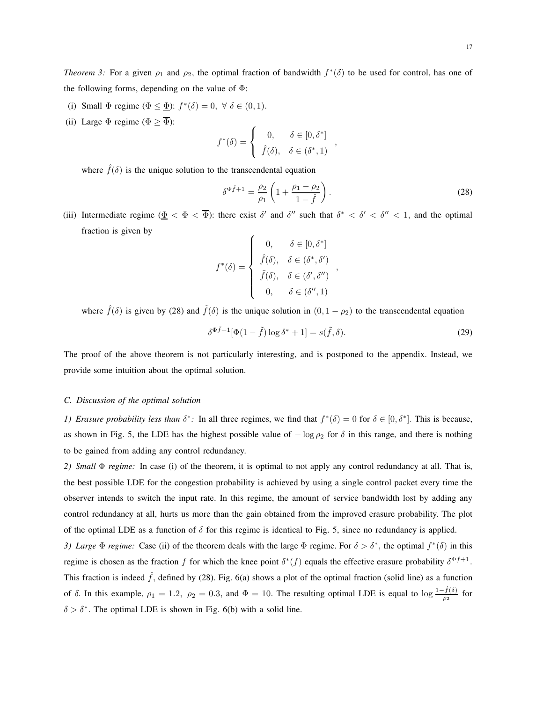*Theorem 3:* For a given  $\rho_1$  and  $\rho_2$ , the optimal fraction of bandwidth  $f^*(\delta)$  to be used for control, has one of the following forms, depending on the value of  $\Phi$ :

- (i) Small  $\Phi$  regime  $(\Phi \leq \underline{\Phi})$ :  $f^*(\delta) = 0$ ,  $\forall \delta \in (0, 1)$ .
- (ii) Large  $\Phi$  regime ( $\Phi \geq \overline{\Phi}$ ):

$$
f^*(\delta) = \begin{cases} 0, & \delta \in [0, \delta^*] \\ \hat{f}(\delta), & \delta \in (\delta^*, 1) \end{cases}
$$

where  $\hat{f}(\delta)$  is the unique solution to the transcendental equation

$$
\delta^{\Phi\hat{f}+1} = \frac{\rho_2}{\rho_1} \left( 1 + \frac{\rho_1 - \rho_2}{1 - \hat{f}} \right). \tag{28}
$$

(iii) Intermediate regime  $(\underline{\Phi} < \Phi < \overline{\Phi})$ : there exist  $\delta'$  and  $\delta''$  such that  $\delta^* < \delta' < \delta'' < 1$ , and the optimal fraction is given by

$$
f^*(\delta) = \begin{cases} 0, & \delta \in [0, \delta^*] \\ \hat{f}(\delta), & \delta \in (\delta^*, \delta') \\ \tilde{f}(\delta), & \delta \in (\delta', \delta'') \\ 0, & \delta \in (\delta'', 1) \end{cases}
$$

where  $\hat{f}(\delta)$  is given by (28) and  $\tilde{f}(\delta)$  is the unique solution in  $(0, 1 - \rho_2)$  to the transcendental equation

$$
\delta^{\Phi\tilde{f}+1}[\Phi(1-\tilde{f})\log\delta^*+1] = s(\tilde{f},\delta). \tag{29}
$$

,

The proof of the above theorem is not particularly interesting, and is postponed to the appendix. Instead, we provide some intuition about the optimal solution.

#### *C. Discussion of the optimal solution*

*1) Erasure probability less than*  $\delta^*$ : In all three regimes, we find that  $f^*(\delta) = 0$  for  $\delta \in [0, \delta^*]$ . This is because, as shown in Fig. 5, the LDE has the highest possible value of  $-\log \rho_2$  for  $\delta$  in this range, and there is nothing to be gained from adding any control redundancy.

*2) Small* Φ *regime:* In case (i) of the theorem, it is optimal to not apply any control redundancy at all. That is, the best possible LDE for the congestion probability is achieved by using a single control packet every time the observer intends to switch the input rate. In this regime, the amount of service bandwidth lost by adding any control redundancy at all, hurts us more than the gain obtained from the improved erasure probability. The plot of the optimal LDE as a function of  $\delta$  for this regime is identical to Fig. 5, since no redundancy is applied.

3) Large  $\Phi$  *regime:* Case (ii) of the theorem deals with the large  $\Phi$  regime. For  $\delta > \delta^*$ , the optimal  $f^*(\delta)$  in this regime is chosen as the fraction f for which the knee point  $\delta^*(f)$  equals the effective erasure probability  $\delta^{\Phi f+1}$ . This fraction is indeed  $\hat{f}$ , defined by (28). Fig. 6(a) shows a plot of the optimal fraction (solid line) as a function of  $\delta$ . In this example,  $\rho_1 = 1.2$ ,  $\rho_2 = 0.3$ , and  $\Phi = 10$ . The resulting optimal LDE is equal to  $\log \frac{1-\hat{f}(\delta)}{\rho_2}$  for  $\delta > \delta^*$ . The optimal LDE is shown in Fig. 6(b) with a solid line.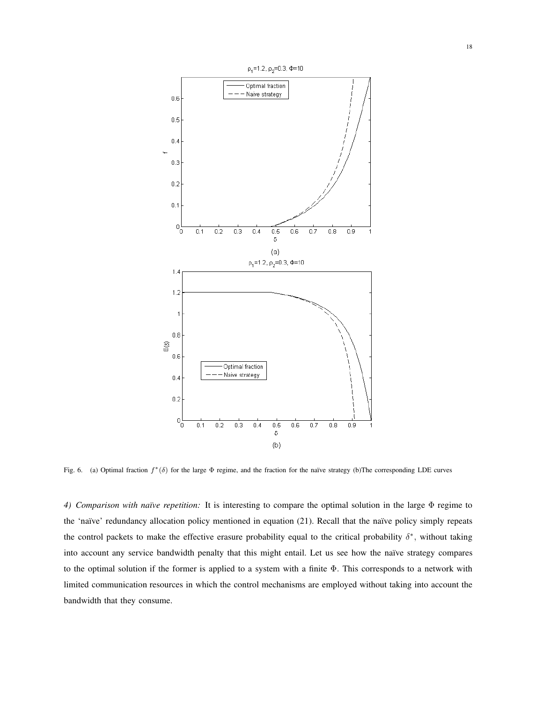

Fig. 6. (a) Optimal fraction  $f^*(\delta)$  for the large  $\Phi$  regime, and the fraction for the naïve strategy (b)The corresponding LDE curves

*4) Comparison with na¨ıve repetition:* It is interesting to compare the optimal solution in the large Φ regime to the 'naïve' redundancy allocation policy mentioned in equation (21). Recall that the naïve policy simply repeats the control packets to make the effective erasure probability equal to the critical probability  $\delta^*$ , without taking into account any service bandwidth penalty that this might entail. Let us see how the naïve strategy compares to the optimal solution if the former is applied to a system with a finite Φ. This corresponds to a network with limited communication resources in which the control mechanisms are employed without taking into account the bandwidth that they consume.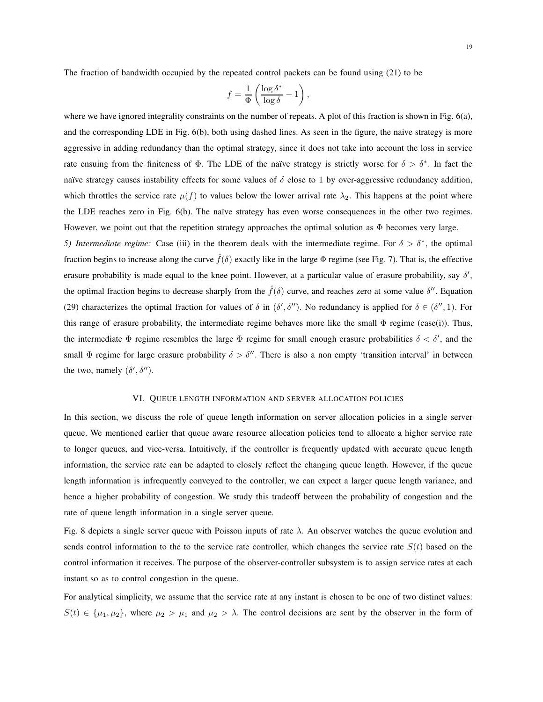The fraction of bandwidth occupied by the repeated control packets can be found using (21) to be

$$
f = \frac{1}{\Phi} \left( \frac{\log \delta^*}{\log \delta} - 1 \right),\,
$$

where we have ignored integrality constraints on the number of repeats. A plot of this fraction is shown in Fig. 6(a), and the corresponding LDE in Fig. 6(b), both using dashed lines. As seen in the figure, the naive strategy is more aggressive in adding redundancy than the optimal strategy, since it does not take into account the loss in service rate ensuing from the finiteness of  $\Phi$ . The LDE of the naïve strategy is strictly worse for  $\delta > \delta^*$ . In fact the naïve strategy causes instability effects for some values of  $\delta$  close to 1 by over-aggressive redundancy addition, which throttles the service rate  $\mu(f)$  to values below the lower arrival rate  $\lambda_2$ . This happens at the point where the LDE reaches zero in Fig. 6(b). The naïve strategy has even worse consequences in the other two regimes. However, we point out that the repetition strategy approaches the optimal solution as  $\Phi$  becomes very large.

*5) Intermediate regime:* Case (iii) in the theorem deals with the intermediate regime. For  $\delta > \delta^*$ , the optimal fraction begins to increase along the curve  $\hat{f}(\delta)$  exactly like in the large  $\Phi$  regime (see Fig. 7). That is, the effective erasure probability is made equal to the knee point. However, at a particular value of erasure probability, say  $\delta'$ , the optimal fraction begins to decrease sharply from the  $\hat{f}(\delta)$  curve, and reaches zero at some value  $\delta''$ . Equation (29) characterizes the optimal fraction for values of  $\delta$  in  $(\delta', \delta'')$ . No redundancy is applied for  $\delta \in (\delta'', 1)$ . For this range of erasure probability, the intermediate regime behaves more like the small  $\Phi$  regime (case(i)). Thus, the intermediate  $\Phi$  regime resembles the large  $\Phi$  regime for small enough erasure probabilities  $\delta < \delta'$ , and the small  $\Phi$  regime for large erasure probability  $\delta > \delta''$ . There is also a non empty 'transition interval' in between the two, namely  $(\delta', \delta'')$ .

#### VI. QUEUE LENGTH INFORMATION AND SERVER ALLOCATION POLICIES

In this section, we discuss the role of queue length information on server allocation policies in a single server queue. We mentioned earlier that queue aware resource allocation policies tend to allocate a higher service rate to longer queues, and vice-versa. Intuitively, if the controller is frequently updated with accurate queue length information, the service rate can be adapted to closely reflect the changing queue length. However, if the queue length information is infrequently conveyed to the controller, we can expect a larger queue length variance, and hence a higher probability of congestion. We study this tradeoff between the probability of congestion and the rate of queue length information in a single server queue.

Fig. 8 depicts a single server queue with Poisson inputs of rate  $\lambda$ . An observer watches the queue evolution and sends control information to the to the service rate controller, which changes the service rate  $S(t)$  based on the control information it receives. The purpose of the observer-controller subsystem is to assign service rates at each instant so as to control congestion in the queue.

For analytical simplicity, we assume that the service rate at any instant is chosen to be one of two distinct values:  $S(t) \in {\mu_1, \mu_2}$ , where  $\mu_2 > \mu_1$  and  $\mu_2 > \lambda$ . The control decisions are sent by the observer in the form of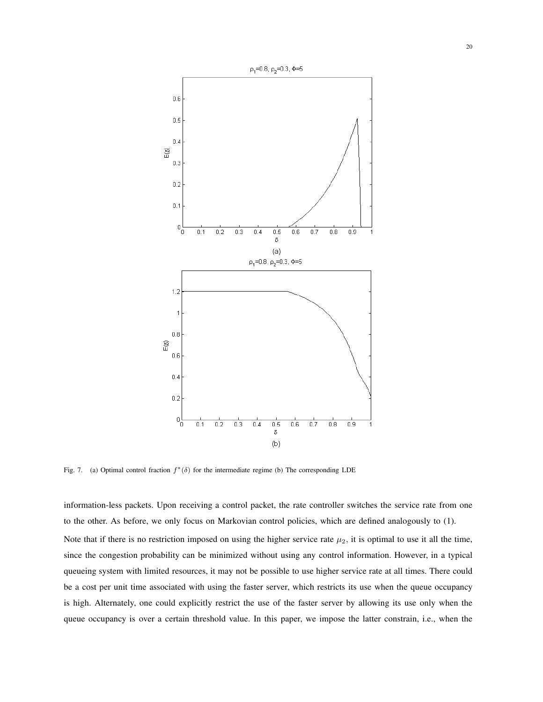

Fig. 7. (a) Optimal control fraction  $f^*(\delta)$  for the intermediate regime (b) The corresponding LDE

information-less packets. Upon receiving a control packet, the rate controller switches the service rate from one to the other. As before, we only focus on Markovian control policies, which are defined analogously to (1). Note that if there is no restriction imposed on using the higher service rate  $\mu_2$ , it is optimal to use it all the time, since the congestion probability can be minimized without using any control information. However, in a typical queueing system with limited resources, it may not be possible to use higher service rate at all times. There could be a cost per unit time associated with using the faster server, which restricts its use when the queue occupancy is high. Alternately, one could explicitly restrict the use of the faster server by allowing its use only when the queue occupancy is over a certain threshold value. In this paper, we impose the latter constrain, i.e., when the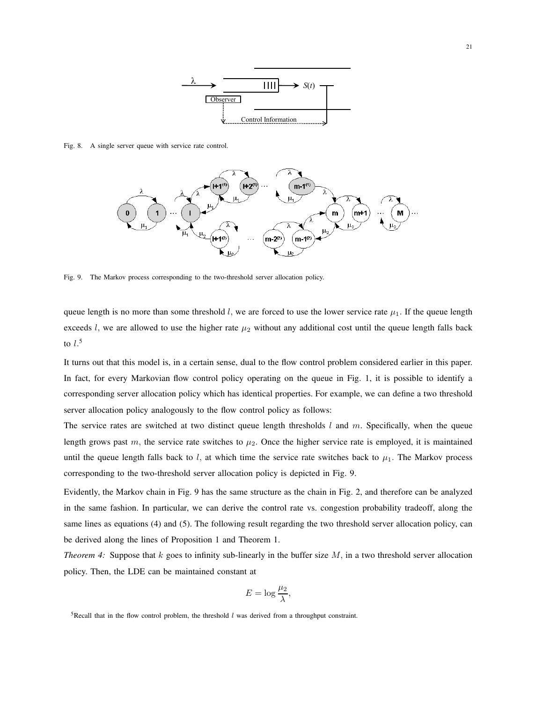

Fig. 8. A single server queue with service rate control.



Fig. 9. The Markov process corresponding to the two-threshold server allocation policy.

queue length is no more than some threshold l, we are forced to use the lower service rate  $\mu_1$ . If the queue length exceeds l, we are allowed to use the higher rate  $\mu_2$  without any additional cost until the queue length falls back to  $l<sup>5</sup>$ 

It turns out that this model is, in a certain sense, dual to the flow control problem considered earlier in this paper. In fact, for every Markovian flow control policy operating on the queue in Fig. 1, it is possible to identify a corresponding server allocation policy which has identical properties. For example, we can define a two threshold server allocation policy analogously to the flow control policy as follows:

The service rates are switched at two distinct queue length thresholds  $l$  and  $m$ . Specifically, when the queue length grows past m, the service rate switches to  $\mu_2$ . Once the higher service rate is employed, it is maintained until the queue length falls back to  $l$ , at which time the service rate switches back to  $\mu_1$ . The Markov process corresponding to the two-threshold server allocation policy is depicted in Fig. 9.

Evidently, the Markov chain in Fig. 9 has the same structure as the chain in Fig. 2, and therefore can be analyzed in the same fashion. In particular, we can derive the control rate vs. congestion probability tradeoff, along the same lines as equations (4) and (5). The following result regarding the two threshold server allocation policy, can be derived along the lines of Proposition 1 and Theorem 1.

*Theorem 4:* Suppose that k goes to infinity sub-linearly in the buffer size M, in a two threshold server allocation policy. Then, the LDE can be maintained constant at

$$
E=\log\frac{\mu_2}{\lambda},
$$

<sup>5</sup>Recall that in the flow control problem, the threshold  $l$  was derived from a throughput constraint.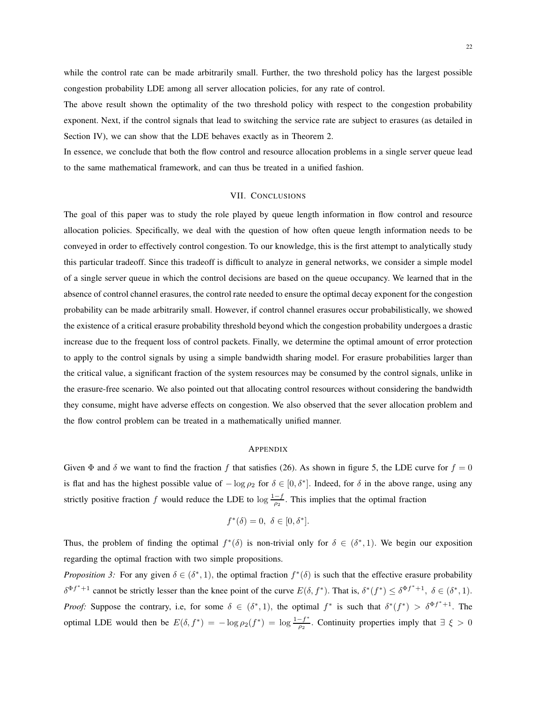while the control rate can be made arbitrarily small. Further, the two threshold policy has the largest possible congestion probability LDE among all server allocation policies, for any rate of control.

The above result shown the optimality of the two threshold policy with respect to the congestion probability exponent. Next, if the control signals that lead to switching the service rate are subject to erasures (as detailed in Section IV), we can show that the LDE behaves exactly as in Theorem 2.

In essence, we conclude that both the flow control and resource allocation problems in a single server queue lead to the same mathematical framework, and can thus be treated in a unified fashion.

## VII. CONCLUSIONS

The goal of this paper was to study the role played by queue length information in flow control and resource allocation policies. Specifically, we deal with the question of how often queue length information needs to be conveyed in order to effectively control congestion. To our knowledge, this is the first attempt to analytically study this particular tradeoff. Since this tradeoff is difficult to analyze in general networks, we consider a simple model of a single server queue in which the control decisions are based on the queue occupancy. We learned that in the absence of control channel erasures, the control rate needed to ensure the optimal decay exponent for the congestion probability can be made arbitrarily small. However, if control channel erasures occur probabilistically, we showed the existence of a critical erasure probability threshold beyond which the congestion probability undergoes a drastic increase due to the frequent loss of control packets. Finally, we determine the optimal amount of error protection to apply to the control signals by using a simple bandwidth sharing model. For erasure probabilities larger than the critical value, a significant fraction of the system resources may be consumed by the control signals, unlike in the erasure-free scenario. We also pointed out that allocating control resources without considering the bandwidth they consume, might have adverse effects on congestion. We also observed that the sever allocation problem and the flow control problem can be treated in a mathematically unified manner.

## APPENDIX

Given  $\Phi$  and  $\delta$  we want to find the fraction f that satisfies (26). As shown in figure 5, the LDE curve for  $f = 0$ is flat and has the highest possible value of  $-\log\rho_2$  for  $\delta \in [0, \delta^*]$ . Indeed, for  $\delta$  in the above range, using any strictly positive fraction f would reduce the LDE to  $\log \frac{1-f}{\rho_2}$ . This implies that the optimal fraction

$$
f^*(\delta)=0,\ \delta\in[0,\delta^*].
$$

Thus, the problem of finding the optimal  $f^*(\delta)$  is non-trivial only for  $\delta \in (\delta^*, 1)$ . We begin our exposition regarding the optimal fraction with two simple propositions.

*Proposition 3:* For any given  $\delta \in (\delta^*, 1)$ , the optimal fraction  $f^*(\delta)$  is such that the effective erasure probability  $\delta^{\Phi f^*+1}$  cannot be strictly lesser than the knee point of the curve  $E(\delta, f^*)$ . That is,  $\delta^*(f^*) \leq \delta^{\Phi f^*+1}$ ,  $\delta \in (\delta^*, 1)$ . *Proof:* Suppose the contrary, i.e, for some  $\delta \in (\delta^*, 1)$ , the optimal  $f^*$  is such that  $\delta^*(f^*) > \delta^{\Phi f^*+1}$ . The optimal LDE would then be  $E(\delta, f^*) = -\log \rho_2(f^*) = \log \frac{1-f^*}{\rho_2}$  $\frac{-f}{\rho_2}$ . Continuity properties imply that  $\exists \xi > 0$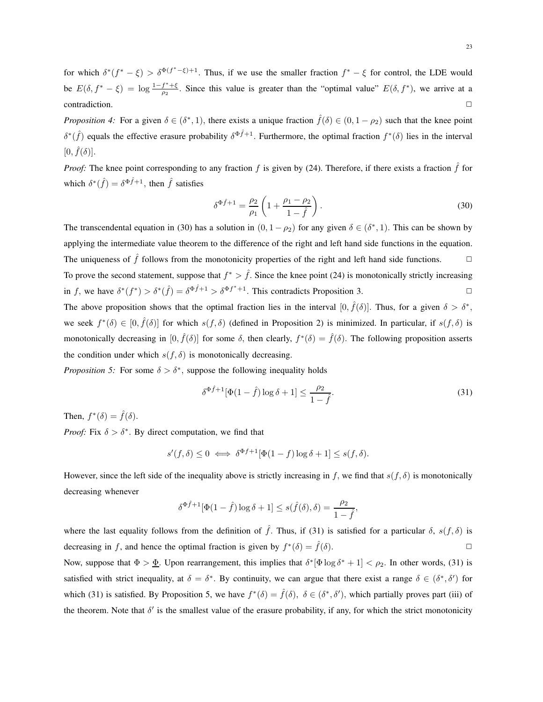for which  $\delta^*(f^* - \xi) > \delta^{\Phi(f^* - \xi) + 1}$ . Thus, if we use the smaller fraction  $f^* - \xi$  for control, the LDE would be  $E(\delta, f^* - \xi) = \log \frac{1 - f^* + \xi}{\rho_2}$  $\frac{f^*+\xi}{\rho_2}$ . Since this value is greater than the "optimal value"  $E(\delta, f^*)$ , we arrive at a  $\Box$ contradiction.  $\Box$ 

*Proposition 4:* For a given  $\delta \in (\delta^*, 1)$ , there exists a unique fraction  $\hat{f}(\delta) \in (0, 1 - \rho_2)$  such that the knee point  $\delta^*(\hat{f})$  equals the effective erasure probability  $\delta^{\Phi\hat{f}+1}$ . Furthermore, the optimal fraction  $f^*(\delta)$  lies in the interval  $[0, \hat{f}(\delta)].$ 

*Proof:* The knee point corresponding to any fraction f is given by (24). Therefore, if there exists a fraction  $\hat{f}$  for which  $\delta^*(\hat{f}) = \delta^{\Phi \hat{f}+1}$ , then  $\hat{f}$  satisfies

$$
\delta^{\Phi \hat{f}+1} = \frac{\rho_2}{\rho_1} \left( 1 + \frac{\rho_1 - \rho_2}{1 - \hat{f}} \right). \tag{30}
$$

The transcendental equation in (30) has a solution in  $(0, 1 - \rho_2)$  for any given  $\delta \in (\delta^*, 1)$ . This can be shown by applying the intermediate value theorem to the difference of the right and left hand side functions in the equation. The uniqueness of  $\hat{f}$  follows from the monotonicity properties of the right and left hand side functions.  $\Box$ To prove the second statement, suppose that  $f^* > \hat{f}$ . Since the knee point (24) is monotonically strictly increasing in f, we have  $\delta^*(f^*) > \delta^*(\hat{f}) = \delta^{\Phi \hat{f}+1} > \delta^{\Phi \hat{f}+1}$ . This contradicts Proposition 3.

The above proposition shows that the optimal fraction lies in the interval  $[0, \hat{f}(\delta)]$ . Thus, for a given  $\delta > \delta^*$ , we seek  $f^*(\delta) \in [0, \hat{f}(\delta)]$  for which  $s(f, \delta)$  (defined in Proposition 2) is minimized. In particular, if  $s(f, \delta)$  is monotonically decreasing in  $[0, \hat{f}(\delta)]$  for some  $\delta$ , then clearly,  $f^*(\delta) = \hat{f}(\delta)$ . The following proposition asserts the condition under which  $s(f, \delta)$  is monotonically decreasing.

*Proposition 5:* For some  $\delta > \delta^*$ , suppose the following inequality holds

$$
\delta^{\Phi\hat{f}+1}[\Phi(1-\hat{f})\log\delta+1] \le \frac{\rho_2}{1-\hat{f}}.\tag{31}
$$

Then,  $f^*(\delta) = \hat{f}(\delta)$ .

*Proof:* Fix  $\delta > \delta^*$ . By direct computation, we find that

$$
s'(f, \delta) \le 0 \iff \delta^{\Phi f + 1}[\Phi(1 - f) \log \delta + 1] \le s(f, \delta).
$$

However, since the left side of the inequality above is strictly increasing in f, we find that  $s(f, \delta)$  is monotonically decreasing whenever

$$
\delta^{\Phi \hat{f}+1}[\Phi(1-\hat{f})\log\delta+1] \leq s(\hat{f}(\delta),\delta) = \frac{\rho_2}{1-\hat{f}},
$$

where the last equality follows from the definition of  $\hat{f}$ . Thus, if (31) is satisfied for a particular  $\delta$ ,  $s(f, \delta)$  is decreasing in f, and hence the optimal fraction is given by  $f^*(\delta) = \hat{f}(\delta)$ .

Now, suppose that  $\Phi > \underline{\Phi}$ . Upon rearrangement, this implies that  $\delta^*[\Phi \log \delta^* + 1] < \rho_2$ . In other words, (31) is satisfied with strict inequality, at  $\delta = \delta^*$ . By continuity, we can argue that there exist a range  $\delta \in (\delta^*, \delta')$  for which (31) is satisfied. By Proposition 5, we have  $f^*(\delta) = \hat{f}(\delta)$ ,  $\delta \in (\delta^*, \delta')$ , which partially proves part (iii) of the theorem. Note that  $\delta'$  is the smallest value of the erasure probability, if any, for which the strict monotonicity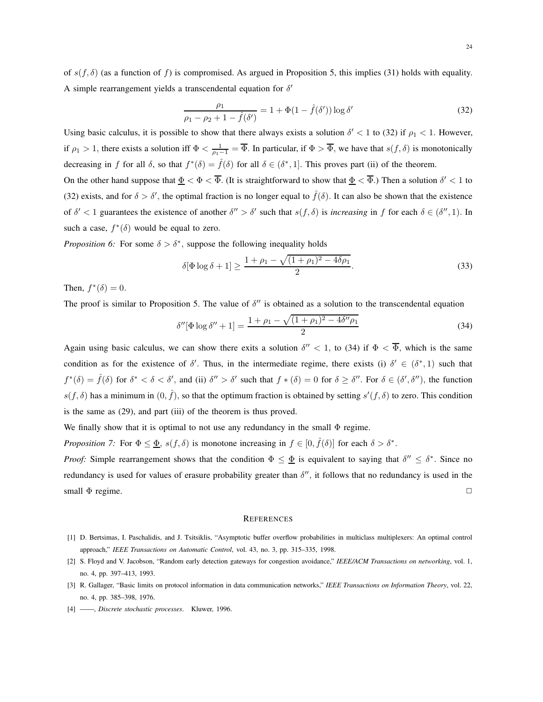of  $s(f, \delta)$  (as a function of f) is compromised. As argued in Proposition 5, this implies (31) holds with equality. A simple rearrangement yields a transcendental equation for  $\delta'$ 

$$
\frac{\rho_1}{\rho_1 - \rho_2 + 1 - \hat{f}(\delta')} = 1 + \Phi(1 - \hat{f}(\delta')) \log \delta'
$$
\n(32)

Using basic calculus, it is possible to show that there always exists a solution  $\delta' < 1$  to (32) if  $\rho_1 < 1$ . However, if  $\rho_1 > 1$ , there exists a solution iff  $\Phi < \frac{1}{\rho_1 - 1} = \overline{\Phi}$ . In particular, if  $\Phi > \overline{\Phi}$ , we have that  $s(f, \delta)$  is monotonically decreasing in f for all  $\delta$ , so that  $f^*(\delta) = \hat{f}(\delta)$  for all  $\delta \in (\delta^*, 1]$ . This proves part (ii) of the theorem. On the other hand suppose that  $\underline{\Phi} < \Phi < \overline{\Phi}$ . (It is straightforward to show that  $\underline{\Phi} < \overline{\Phi}$ .) Then a solution  $\delta' < 1$  to (32) exists, and for  $\delta > \delta'$ , the optimal fraction is no longer equal to  $\hat{f}(\delta)$ . It can also be shown that the existence of  $\delta' < 1$  guarantees the existence of another  $\delta'' > \delta'$  such that  $s(f, \delta)$  is *increasing* in f for each  $\delta \in (\delta'', 1)$ . In such a case,  $f^*(\delta)$  would be equal to zero.

*Proposition 6:* For some  $\delta > \delta^*$ , suppose the following inequality holds

$$
\delta[\Phi \log \delta + 1] \ge \frac{1 + \rho_1 - \sqrt{(1 + \rho_1)^2 - 4\delta \rho_1}}{2}.
$$
\n(33)

Then,  $f^*(\delta) = 0$ .

The proof is similar to Proposition 5. The value of  $\delta''$  is obtained as a solution to the transcendental equation

$$
\delta''[\Phi \log \delta'' + 1] = \frac{1 + \rho_1 - \sqrt{(1 + \rho_1)^2 - 4\delta'' \rho_1}}{2}
$$
\n(34)

Again using basic calculus, we can show there exits a solution  $\delta'' < 1$ , to (34) if  $\Phi < \overline{\Phi}$ , which is the same condition as for the existence of  $\delta'$ . Thus, in the intermediate regime, there exists (i)  $\delta' \in (\delta^*, 1)$  such that  $f^*(\delta) = \hat{f}(\delta)$  for  $\delta^* < \delta < \delta'$ , and (ii)  $\delta'' > \delta'$  such that  $f^*(\delta) = 0$  for  $\delta \geq \delta''$ . For  $\delta \in (\delta', \delta'')$ , the function  $s(f, \delta)$  has a minimum in  $(0, \hat{f})$ , so that the optimum fraction is obtained by setting  $s'(f, \delta)$  to zero. This condition is the same as (29), and part (iii) of the theorem is thus proved.

We finally show that it is optimal to not use any redundancy in the small  $\Phi$  regime.

*Proposition 7:* For  $\Phi \leq \underline{\Phi}$ ,  $s(f, \delta)$  is monotone increasing in  $f \in [0, \hat{f}(\delta)]$  for each  $\delta > \delta^*$ .

*Proof:* Simple rearrangement shows that the condition  $\Phi \leq \underline{\Phi}$  is equivalent to saying that  $\delta'' \leq \delta^*$ . Since no redundancy is used for values of erasure probability greater than  $\delta''$ , it follows that no redundancy is used in the small  $\Phi$  regime.  $\Box$ 

#### **REFERENCES**

- [1] D. Bertsimas, I. Paschalidis, and J. Tsitsiklis, "Asymptotic buffer overflow probabilities in multiclass multiplexers: An optimal control approach," *IEEE Transactions on Automatic Control*, vol. 43, no. 3, pp. 315–335, 1998.
- [2] S. Floyd and V. Jacobson, "Random early detection gateways for congestion avoidance," *IEEE/ACM Transactions on networking*, vol. 1, no. 4, pp. 397–413, 1993.
- [3] R. Gallager, "Basic limits on protocol information in data communication networks," *IEEE Transactions on Information Theory*, vol. 22, no. 4, pp. 385–398, 1976.
- [4] ——, *Discrete stochastic processes*. Kluwer, 1996.